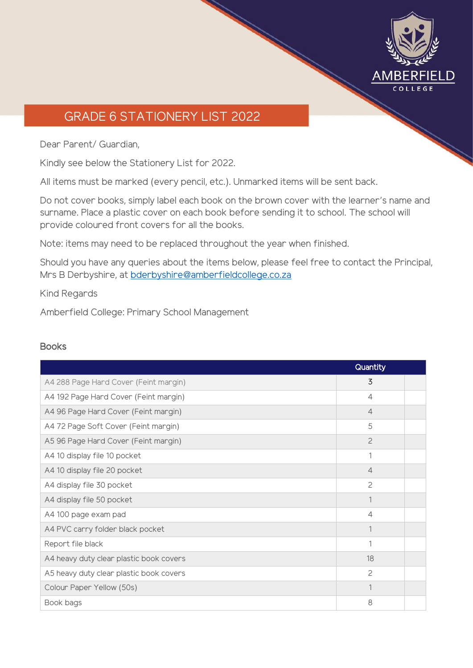

## GRADE 6 STATIONERY LIST 2022

Dear Parent/ Guardian,

Kindly see below the Stationery List for 2022.

All items must be marked (every pencil, etc.). Unmarked items will be sent back.

Do not cover books, simply label each book on the brown cover with the learner's name and surname. Place a plastic cover on each book before sending it to school. The school will provide coloured front covers for all the books.

Note: items may need to be replaced throughout the year when finished.

Should you have any queries about the items below, please feel free to contact the Principal, Mrs B Derbyshire, at [bderbyshire@amberfieldcollege.co.za](mailto:bderbyshire@amberfieldcollege.co.za)

Kind Regards

Amberfield College: Primary School Management

## **Books**

|                                         | Quantity       |  |
|-----------------------------------------|----------------|--|
| A4 288 Page Hard Cover (Feint margin)   | 3              |  |
| A4 192 Page Hard Cover (Feint margin)   | 4              |  |
| A4 96 Page Hard Cover (Feint margin)    | $\overline{4}$ |  |
| A4 72 Page Soft Cover (Feint margin)    | 5              |  |
| A5 96 Page Hard Cover (Feint margin)    | $\overline{c}$ |  |
| A4 10 display file 10 pocket            | 1              |  |
| A4 10 display file 20 pocket            | 4              |  |
| A4 display file 30 pocket               | $\overline{c}$ |  |
| A4 display file 50 pocket               | 1              |  |
| A4 100 page exam pad                    | $\overline{4}$ |  |
| A4 PVC carry folder black pocket        |                |  |
| Report file black                       |                |  |
| A4 heavy duty clear plastic book covers | 18             |  |
| A5 heavy duty clear plastic book covers | 2              |  |
| Colour Paper Yellow (50s)               |                |  |
| Book bags                               | 8              |  |